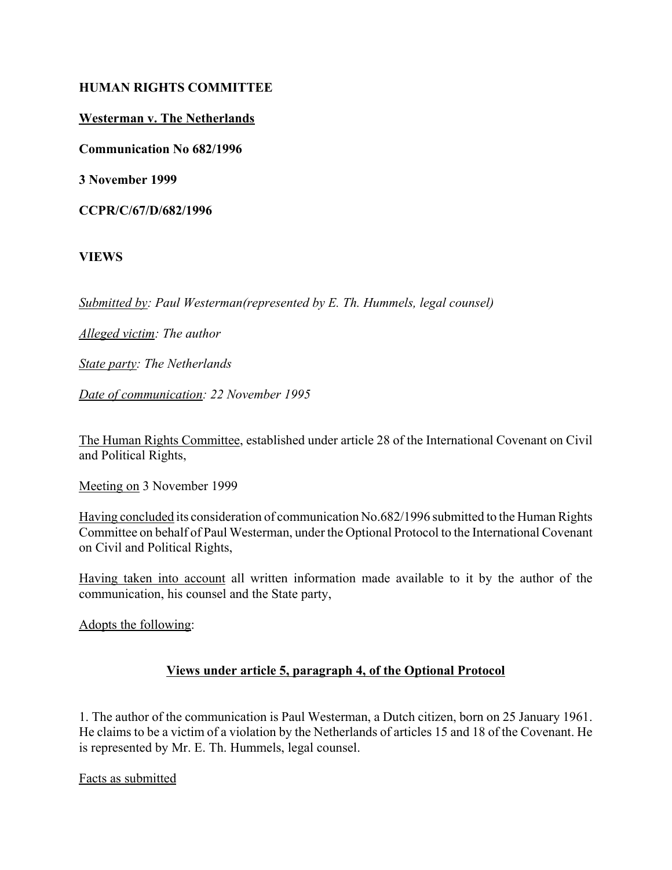## **HUMAN RIGHTS COMMITTEE**

## **Westerman v. The Netherlands**

**Communication No 682/1996**

**3 November 1999**

**CCPR/C/67/D/682/1996**

**VIEWS**

*Submitted by: Paul Westerman(represented by E. Th. Hummels, legal counsel)* 

*Alleged victim: The author* 

*State party: The Netherlands* 

*Date of communication: 22 November 1995*

The Human Rights Committee, established under article 28 of the International Covenant on Civil and Political Rights,

Meeting on 3 November 1999

Having concluded its consideration of communication No.682/1996 submitted to the Human Rights Committee on behalf of Paul Westerman, under the Optional Protocol to the International Covenant on Civil and Political Rights,

Having taken into account all written information made available to it by the author of the communication, his counsel and the State party,

Adopts the following:

## **Views under article 5, paragraph 4, of the Optional Protocol**

1. The author of the communication is Paul Westerman, a Dutch citizen, born on 25 January 1961. He claims to be a victim of a violation by the Netherlands of articles 15 and 18 of the Covenant. He is represented by Mr. E. Th. Hummels, legal counsel.

Facts as submitted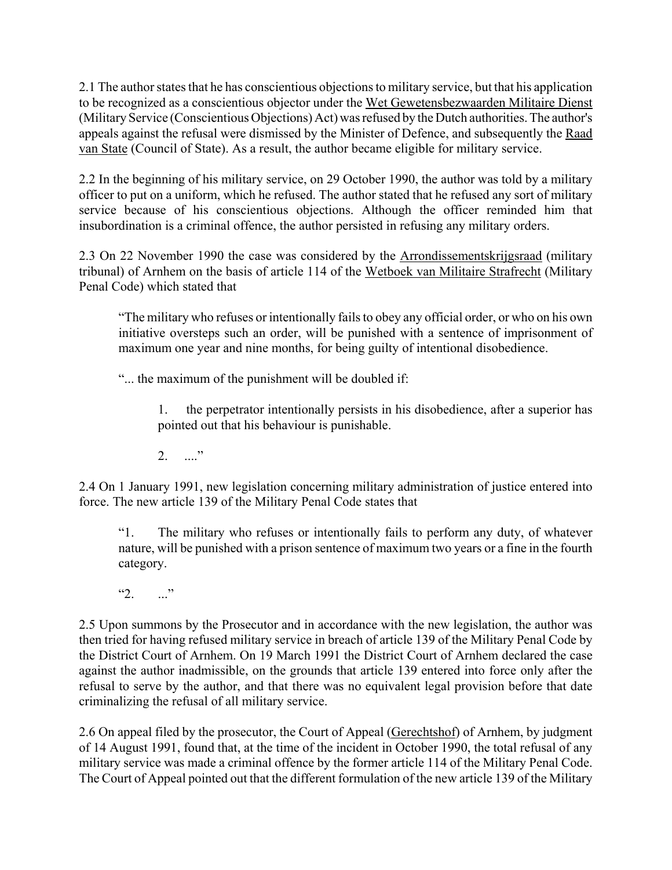2.1 The author states that he has conscientious objections to military service, but that his application to be recognized as a conscientious objector under the Wet Gewetensbezwaarden Militaire Dienst (Military Service (Conscientious Objections) Act) was refused by the Dutch authorities. The author's appeals against the refusal were dismissed by the Minister of Defence, and subsequently the Raad van State (Council of State). As a result, the author became eligible for military service.

2.2 In the beginning of his military service, on 29 October 1990, the author was told by a military officer to put on a uniform, which he refused. The author stated that he refused any sort of military service because of his conscientious objections. Although the officer reminded him that insubordination is a criminal offence, the author persisted in refusing any military orders.

2.3 On 22 November 1990 the case was considered by the Arrondissementskrijgsraad (military tribunal) of Arnhem on the basis of article 114 of the Wetboek van Militaire Strafrecht (Military Penal Code) which stated that

ìThe military who refuses or intentionally fails to obey any official order, or who on his own initiative oversteps such an order, will be punished with a sentence of imprisonment of maximum one year and nine months, for being guilty of intentional disobedience.

"... the maximum of the punishment will be doubled if:

1. the perpetrator intentionally persists in his disobedience, after a superior has pointed out that his behaviour is punishable.

 $2 \cdot \cdot \cdot$ 

2.4 On 1 January 1991, new legislation concerning military administration of justice entered into force. The new article 139 of the Military Penal Code states that

ì1. The military who refuses or intentionally fails to perform any duty, of whatever nature, will be punished with a prison sentence of maximum two years or a fine in the fourth category.

 $"2.$  ..."

2.5 Upon summons by the Prosecutor and in accordance with the new legislation, the author was then tried for having refused military service in breach of article 139 of the Military Penal Code by the District Court of Arnhem. On 19 March 1991 the District Court of Arnhem declared the case against the author inadmissible, on the grounds that article 139 entered into force only after the refusal to serve by the author, and that there was no equivalent legal provision before that date criminalizing the refusal of all military service.

2.6 On appeal filed by the prosecutor, the Court of Appeal (Gerechtshof) of Arnhem, by judgment of 14 August 1991, found that, at the time of the incident in October 1990, the total refusal of any military service was made a criminal offence by the former article 114 of the Military Penal Code. The Court of Appeal pointed out that the different formulation of the new article 139 of the Military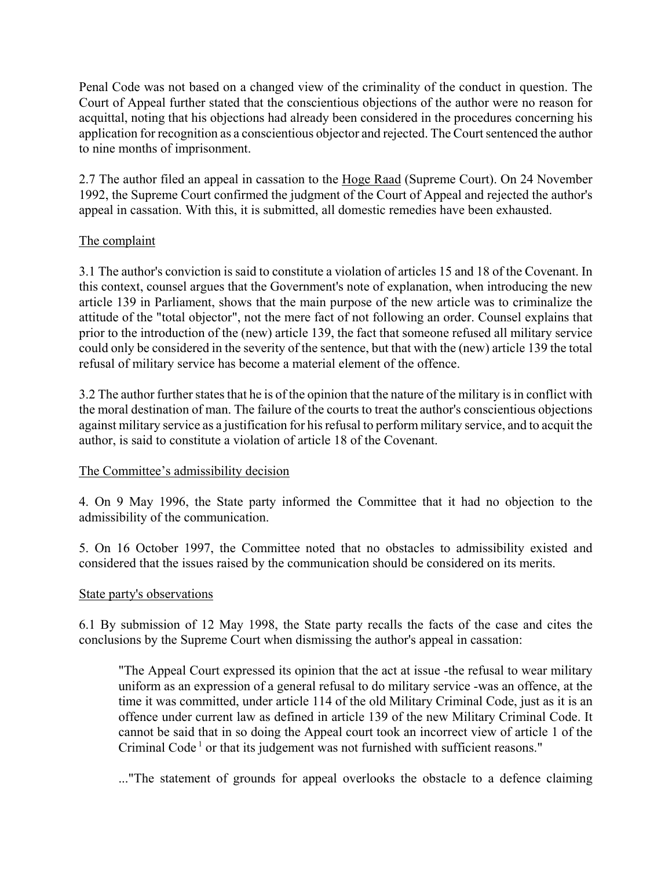Penal Code was not based on a changed view of the criminality of the conduct in question. The Court of Appeal further stated that the conscientious objections of the author were no reason for acquittal, noting that his objections had already been considered in the procedures concerning his application for recognition as a conscientious objector and rejected. The Court sentenced the author to nine months of imprisonment.

2.7 The author filed an appeal in cassation to the Hoge Raad (Supreme Court). On 24 November 1992, the Supreme Court confirmed the judgment of the Court of Appeal and rejected the author's appeal in cassation. With this, it is submitted, all domestic remedies have been exhausted.

## The complaint

3.1 The author's conviction is said to constitute a violation of articles 15 and 18 of the Covenant. In this context, counsel argues that the Government's note of explanation, when introducing the new article 139 in Parliament, shows that the main purpose of the new article was to criminalize the attitude of the "total objector", not the mere fact of not following an order. Counsel explains that prior to the introduction of the (new) article 139, the fact that someone refused all military service could only be considered in the severity of the sentence, but that with the (new) article 139 the total refusal of military service has become a material element of the offence.

3.2 The author further states that he is of the opinion that the nature of the military is in conflict with the moral destination of man. The failure of the courts to treat the author's conscientious objections against military service as a justification for his refusal to perform military service, and to acquit the author, is said to constitute a violation of article 18 of the Covenant.

## The Committee's admissibility decision

4. On 9 May 1996, the State party informed the Committee that it had no objection to the admissibility of the communication.

5. On 16 October 1997, the Committee noted that no obstacles to admissibility existed and considered that the issues raised by the communication should be considered on its merits.

## State party's observations

6.1 By submission of 12 May 1998, the State party recalls the facts of the case and cites the conclusions by the Supreme Court when dismissing the author's appeal in cassation:

"The Appeal Court expressed its opinion that the act at issue -the refusal to wear military uniform as an expression of a general refusal to do military service -was an offence, at the time it was committed, under article 114 of the old Military Criminal Code, just as it is an offence under current law as defined in article 139 of the new Military Criminal Code. It cannot be said that in so doing the Appeal court took an incorrect view of article 1 of the Criminal Code<sup>1</sup> or that its judgement was not furnished with sufficient reasons."

..."The statement of grounds for appeal overlooks the obstacle to a defence claiming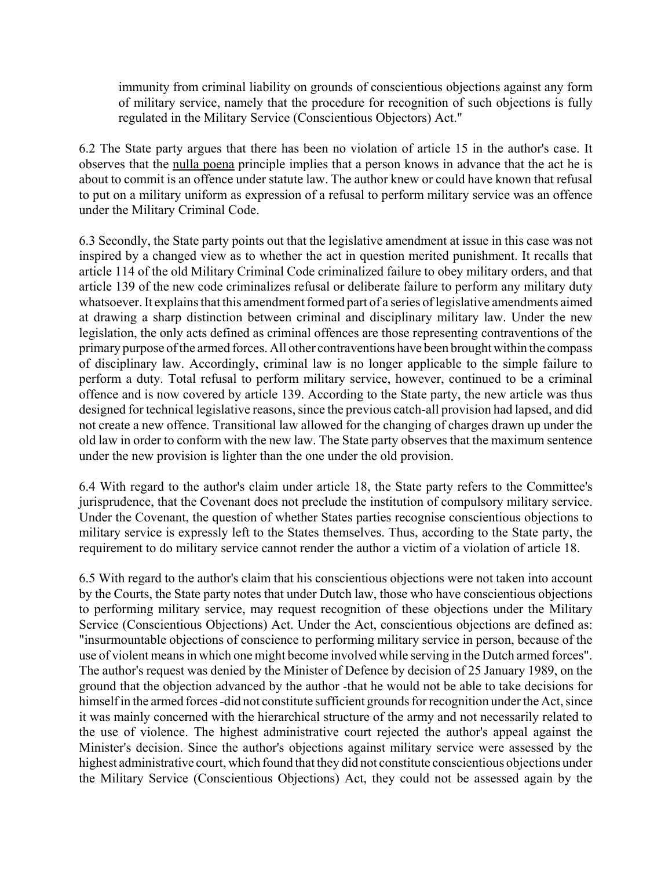immunity from criminal liability on grounds of conscientious objections against any form of military service, namely that the procedure for recognition of such objections is fully regulated in the Military Service (Conscientious Objectors) Act."

6.2 The State party argues that there has been no violation of article 15 in the author's case. It observes that the nulla poena principle implies that a person knows in advance that the act he is about to commit is an offence under statute law. The author knew or could have known that refusal to put on a military uniform as expression of a refusal to perform military service was an offence under the Military Criminal Code.

6.3 Secondly, the State party points out that the legislative amendment at issue in this case was not inspired by a changed view as to whether the act in question merited punishment. It recalls that article 114 of the old Military Criminal Code criminalized failure to obey military orders, and that article 139 of the new code criminalizes refusal or deliberate failure to perform any military duty whatsoever. It explains that this amendment formed part of a series of legislative amendments aimed at drawing a sharp distinction between criminal and disciplinary military law. Under the new legislation, the only acts defined as criminal offences are those representing contraventions of the primary purpose of the armed forces. All other contraventions have been brought within the compass of disciplinary law. Accordingly, criminal law is no longer applicable to the simple failure to perform a duty. Total refusal to perform military service, however, continued to be a criminal offence and is now covered by article 139. According to the State party, the new article was thus designed for technical legislative reasons, since the previous catch-all provision had lapsed, and did not create a new offence. Transitional law allowed for the changing of charges drawn up under the old law in order to conform with the new law. The State party observes that the maximum sentence under the new provision is lighter than the one under the old provision.

6.4 With regard to the author's claim under article 18, the State party refers to the Committee's jurisprudence, that the Covenant does not preclude the institution of compulsory military service. Under the Covenant, the question of whether States parties recognise conscientious objections to military service is expressly left to the States themselves. Thus, according to the State party, the requirement to do military service cannot render the author a victim of a violation of article 18.

6.5 With regard to the author's claim that his conscientious objections were not taken into account by the Courts, the State party notes that under Dutch law, those who have conscientious objections to performing military service, may request recognition of these objections under the Military Service (Conscientious Objections) Act. Under the Act, conscientious objections are defined as: "insurmountable objections of conscience to performing military service in person, because of the use of violent means in which one might become involved while serving in the Dutch armed forces". The author's request was denied by the Minister of Defence by decision of 25 January 1989, on the ground that the objection advanced by the author -that he would not be able to take decisions for himself in the armed forces -did not constitute sufficient grounds for recognition under the Act, since it was mainly concerned with the hierarchical structure of the army and not necessarily related to the use of violence. The highest administrative court rejected the author's appeal against the Minister's decision. Since the author's objections against military service were assessed by the highest administrative court, which found that they did not constitute conscientious objections under the Military Service (Conscientious Objections) Act, they could not be assessed again by the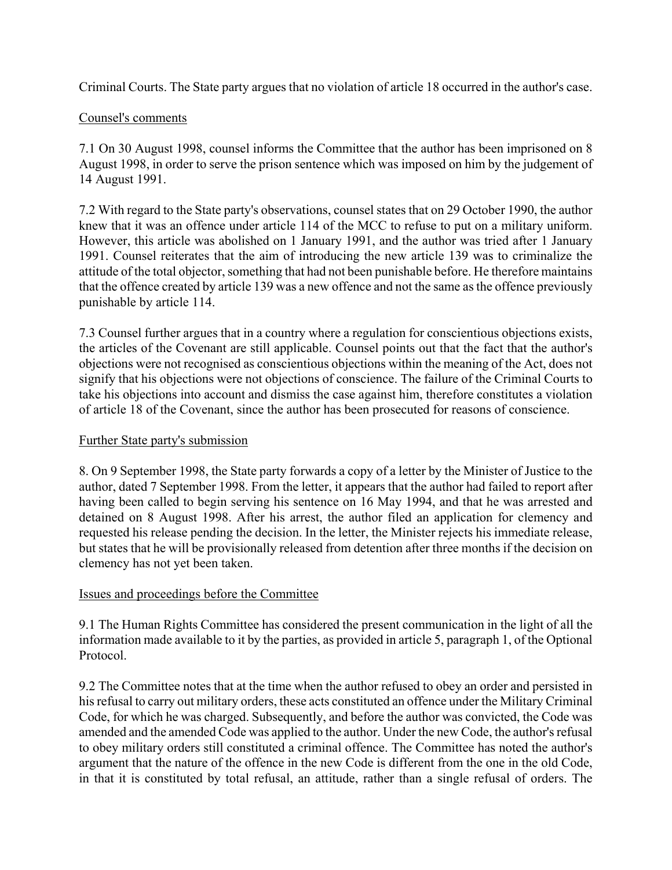Criminal Courts. The State party argues that no violation of article 18 occurred in the author's case.

## Counsel's comments

7.1 On 30 August 1998, counsel informs the Committee that the author has been imprisoned on 8 August 1998, in order to serve the prison sentence which was imposed on him by the judgement of 14 August 1991.

7.2 With regard to the State party's observations, counsel states that on 29 October 1990, the author knew that it was an offence under article 114 of the MCC to refuse to put on a military uniform. However, this article was abolished on 1 January 1991, and the author was tried after 1 January 1991. Counsel reiterates that the aim of introducing the new article 139 was to criminalize the attitude of the total objector, something that had not been punishable before. He therefore maintains that the offence created by article 139 was a new offence and not the same as the offence previously punishable by article 114.

7.3 Counsel further argues that in a country where a regulation for conscientious objections exists, the articles of the Covenant are still applicable. Counsel points out that the fact that the author's objections were not recognised as conscientious objections within the meaning of the Act, does not signify that his objections were not objections of conscience. The failure of the Criminal Courts to take his objections into account and dismiss the case against him, therefore constitutes a violation of article 18 of the Covenant, since the author has been prosecuted for reasons of conscience.

#### Further State party's submission

8. On 9 September 1998, the State party forwards a copy of a letter by the Minister of Justice to the author, dated 7 September 1998. From the letter, it appears that the author had failed to report after having been called to begin serving his sentence on 16 May 1994, and that he was arrested and detained on 8 August 1998. After his arrest, the author filed an application for clemency and requested his release pending the decision. In the letter, the Minister rejects his immediate release, but states that he will be provisionally released from detention after three months if the decision on clemency has not yet been taken.

#### Issues and proceedings before the Committee

9.1 The Human Rights Committee has considered the present communication in the light of all the information made available to it by the parties, as provided in article 5, paragraph 1, of the Optional Protocol.

9.2 The Committee notes that at the time when the author refused to obey an order and persisted in his refusal to carry out military orders, these acts constituted an offence under the Military Criminal Code, for which he was charged. Subsequently, and before the author was convicted, the Code was amended and the amended Code was applied to the author. Under the new Code, the author's refusal to obey military orders still constituted a criminal offence. The Committee has noted the author's argument that the nature of the offence in the new Code is different from the one in the old Code, in that it is constituted by total refusal, an attitude, rather than a single refusal of orders. The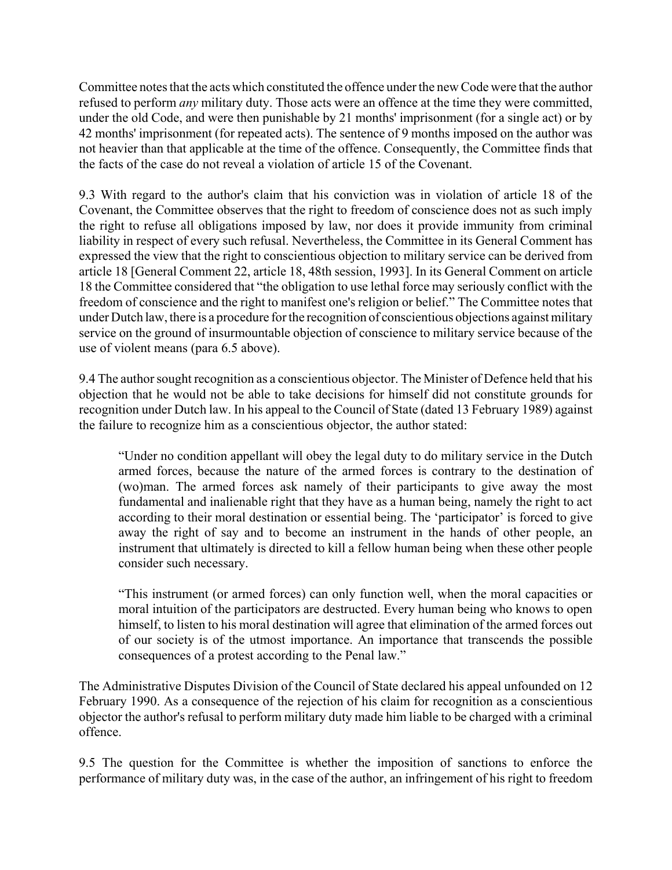Committee notes that the acts which constituted the offence under the new Code were that the author refused to perform *any* military duty. Those acts were an offence at the time they were committed, under the old Code, and were then punishable by 21 months' imprisonment (for a single act) or by 42 months' imprisonment (for repeated acts). The sentence of 9 months imposed on the author was not heavier than that applicable at the time of the offence. Consequently, the Committee finds that the facts of the case do not reveal a violation of article 15 of the Covenant.

9.3 With regard to the author's claim that his conviction was in violation of article 18 of the Covenant, the Committee observes that the right to freedom of conscience does not as such imply the right to refuse all obligations imposed by law, nor does it provide immunity from criminal liability in respect of every such refusal. Nevertheless, the Committee in its General Comment has expressed the view that the right to conscientious objection to military service can be derived from article 18 [General Comment 22, article 18, 48th session, 1993]. In its General Comment on article 18 the Committee considered that "the obligation to use lethal force may seriously conflict with the freedom of conscience and the right to manifest one's religion or belief." The Committee notes that under Dutch law, there is a procedure for the recognition of conscientious objections against military service on the ground of insurmountable objection of conscience to military service because of the use of violent means (para 6.5 above).

9.4 The author sought recognition as a conscientious objector. The Minister of Defence held that his objection that he would not be able to take decisions for himself did not constitute grounds for recognition under Dutch law. In his appeal to the Council of State (dated 13 February 1989) against the failure to recognize him as a conscientious objector, the author stated:

ìUnder no condition appellant will obey the legal duty to do military service in the Dutch armed forces, because the nature of the armed forces is contrary to the destination of (wo)man. The armed forces ask namely of their participants to give away the most fundamental and inalienable right that they have as a human being, namely the right to act according to their moral destination or essential being. The 'participator' is forced to give away the right of say and to become an instrument in the hands of other people, an instrument that ultimately is directed to kill a fellow human being when these other people consider such necessary.

ìThis instrument (or armed forces) can only function well, when the moral capacities or moral intuition of the participators are destructed. Every human being who knows to open himself, to listen to his moral destination will agree that elimination of the armed forces out of our society is of the utmost importance. An importance that transcends the possible consequences of a protest according to the Penal law."

The Administrative Disputes Division of the Council of State declared his appeal unfounded on 12 February 1990. As a consequence of the rejection of his claim for recognition as a conscientious objector the author's refusal to perform military duty made him liable to be charged with a criminal offence.

9.5 The question for the Committee is whether the imposition of sanctions to enforce the performance of military duty was, in the case of the author, an infringement of his right to freedom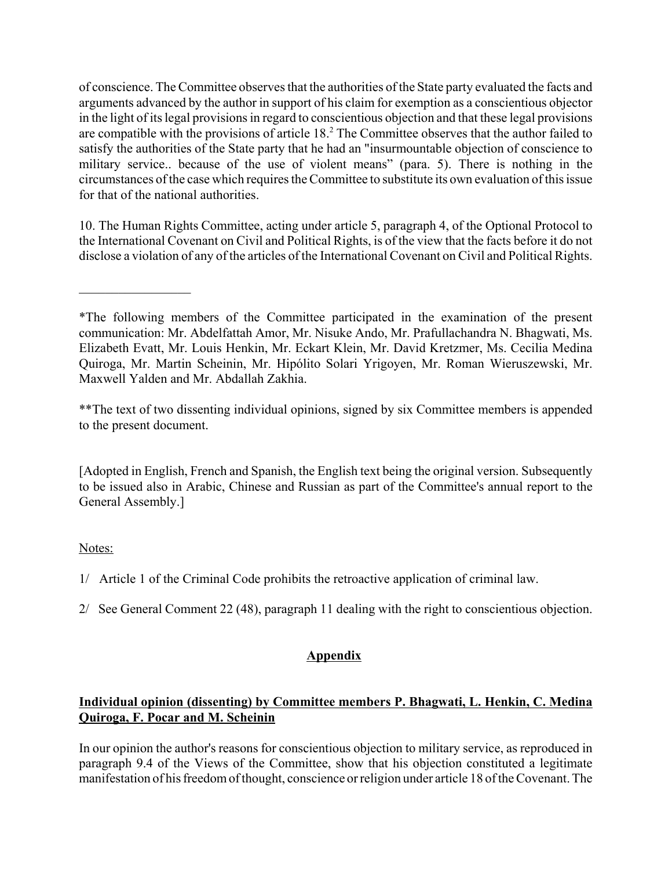of conscience. The Committee observes that the authorities of the State party evaluated the facts and arguments advanced by the author in support of his claim for exemption as a conscientious objector in the light of its legal provisions in regard to conscientious objection and that these legal provisions are compatible with the provisions of article  $18<sup>2</sup>$ . The Committee observes that the author failed to satisfy the authorities of the State party that he had an "insurmountable objection of conscience to military service.. because of the use of violent means" (para. 5). There is nothing in the circumstances of the case which requires the Committee to substitute its own evaluation of this issue for that of the national authorities.

10. The Human Rights Committee, acting under article 5, paragraph 4, of the Optional Protocol to the International Covenant on Civil and Political Rights, is of the view that the facts before it do not disclose a violation of any of the articles of the International Covenant on Civil and Political Rights.

\*\*The text of two dissenting individual opinions, signed by six Committee members is appended to the present document.

[Adopted in English, French and Spanish, the English text being the original version. Subsequently to be issued also in Arabic, Chinese and Russian as part of the Committee's annual report to the General Assembly.]

## Notes:

 $\mathcal{L}_\text{max}$ 

- 1/ Article 1 of the Criminal Code prohibits the retroactive application of criminal law.
- 2/ See General Comment 22 (48), paragraph 11 dealing with the right to conscientious objection.

# **Appendix**

## **Individual opinion (dissenting) by Committee members P. Bhagwati, L. Henkin, C. Medina Quiroga, F. Pocar and M. Scheinin**

In our opinion the author's reasons for conscientious objection to military service, as reproduced in paragraph 9.4 of the Views of the Committee, show that his objection constituted a legitimate manifestation of his freedom of thought, conscience or religion under article 18 of the Covenant. The

<sup>\*</sup>The following members of the Committee participated in the examination of the present communication: Mr. Abdelfattah Amor, Mr. Nisuke Ando, Mr. Prafullachandra N. Bhagwati, Ms. Elizabeth Evatt, Mr. Louis Henkin, Mr. Eckart Klein, Mr. David Kretzmer, Ms. Cecilia Medina Quiroga, Mr. Martin Scheinin, Mr. Hipólito Solari Yrigoyen, Mr. Roman Wieruszewski, Mr. Maxwell Yalden and Mr. Abdallah Zakhia.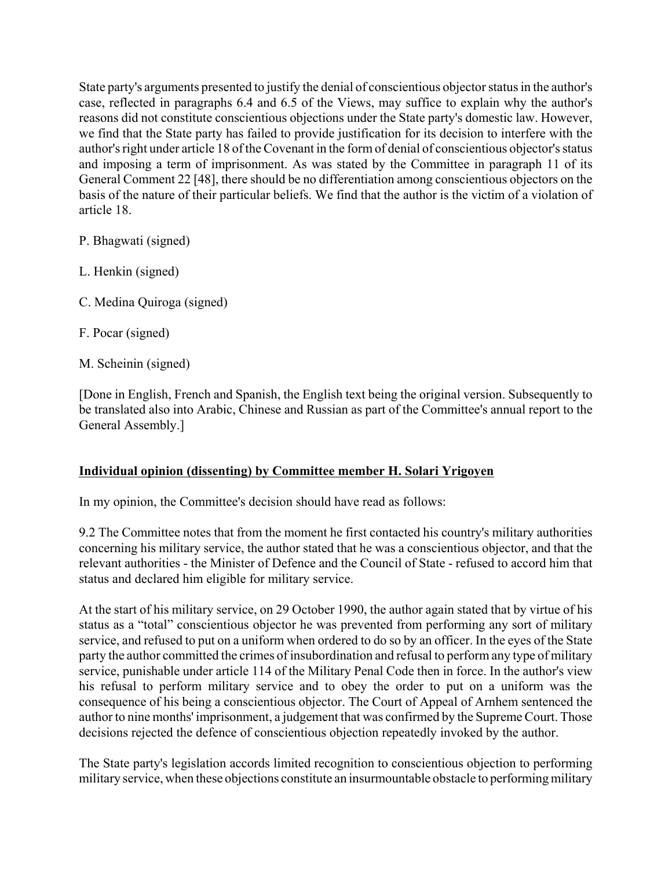State party's arguments presented to justify the denial of conscientious objector status in the author's case, reflected in paragraphs 6.4 and 6.5 of the Views, may suffice to explain why the author's reasons did not constitute conscientious objections under the State party's domestic law. However, we find that the State party has failed to provide justification for its decision to interfere with the author's right under article 18 of the Covenant in the form of denial of conscientious objector's status and imposing a term of imprisonment. As was stated by the Committee in paragraph 11 of its General Comment 22 [48], there should be no differentiation among conscientious objectors on the basis of the nature of their particular beliefs. We find that the author is the victim of a violation of article 18.

P. Bhagwati (signed)

- L. Henkin (signed)
- C. Medina Quiroga (signed)
- F. Pocar (signed)
- M. Scheinin (signed)

[Done in English, French and Spanish, the English text being the original version. Subsequently to be translated also into Arabic, Chinese and Russian as part of the Committee's annual report to the General Assembly.]

## **Individual opinion (dissenting) by Committee member H. Solari Yrigoyen**

In my opinion, the Committee's decision should have read as follows:

9.2 The Committee notes that from the moment he first contacted his country's military authorities concerning his military service, the author stated that he was a conscientious objector, and that the relevant authorities - the Minister of Defence and the Council of State - refused to accord him that status and declared him eligible for military service.

At the start of his military service, on 29 October 1990, the author again stated that by virtue of his status as a "total" conscientious objector he was prevented from performing any sort of military service, and refused to put on a uniform when ordered to do so by an officer. In the eyes of the State party the author committed the crimes of insubordination and refusal to perform any type of military service, punishable under article 114 of the Military Penal Code then in force. In the author's view his refusal to perform military service and to obey the order to put on a uniform was the consequence of his being a conscientious objector. The Court of Appeal of Arnhem sentenced the author to nine months' imprisonment, a judgement that was confirmed by the Supreme Court. Those decisions rejected the defence of conscientious objection repeatedly invoked by the author.

The State party's legislation accords limited recognition to conscientious objection to performing military service, when these objections constitute an insurmountable obstacle to performing military